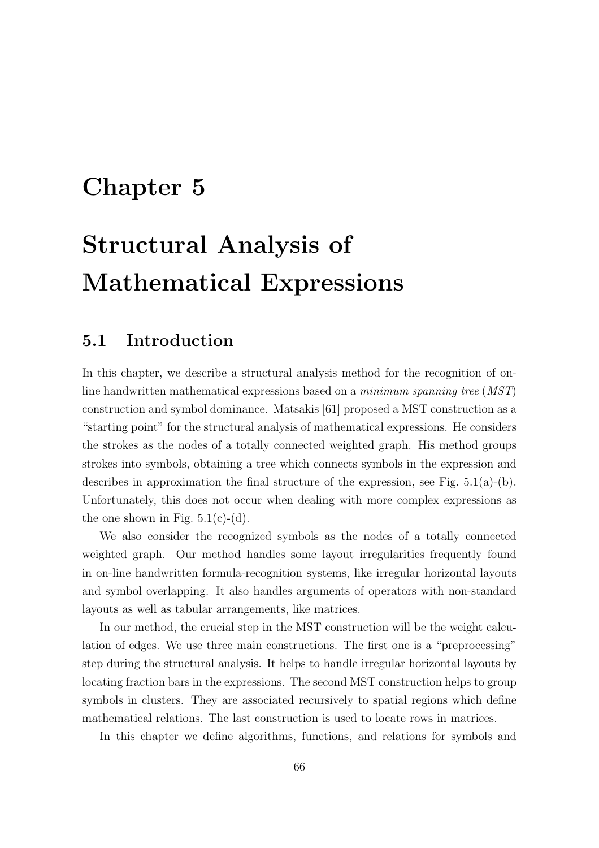## Chapter 5

# Structural Analysis of Mathematical Expressions

## 5.1 Introduction

In this chapter, we describe a structural analysis method for the recognition of online handwritten mathematical expressions based on a minimum spanning tree (MST) construction and symbol dominance. Matsakis [61] proposed a MST construction as a "starting point" for the structural analysis of mathematical expressions. He considers the strokes as the nodes of a totally connected weighted graph. His method groups strokes into symbols, obtaining a tree which connects symbols in the expression and describes in approximation the final structure of the expression, see Fig. 5.1(a)-(b). Unfortunately, this does not occur when dealing with more complex expressions as the one shown in Fig.  $5.1(c)-(d)$ .

We also consider the recognized symbols as the nodes of a totally connected weighted graph. Our method handles some layout irregularities frequently found in on-line handwritten formula-recognition systems, like irregular horizontal layouts and symbol overlapping. It also handles arguments of operators with non-standard layouts as well as tabular arrangements, like matrices.

In our method, the crucial step in the MST construction will be the weight calculation of edges. We use three main constructions. The first one is a "preprocessing" step during the structural analysis. It helps to handle irregular horizontal layouts by locating fraction bars in the expressions. The second MST construction helps to group symbols in clusters. They are associated recursively to spatial regions which define mathematical relations. The last construction is used to locate rows in matrices.

In this chapter we define algorithms, functions, and relations for symbols and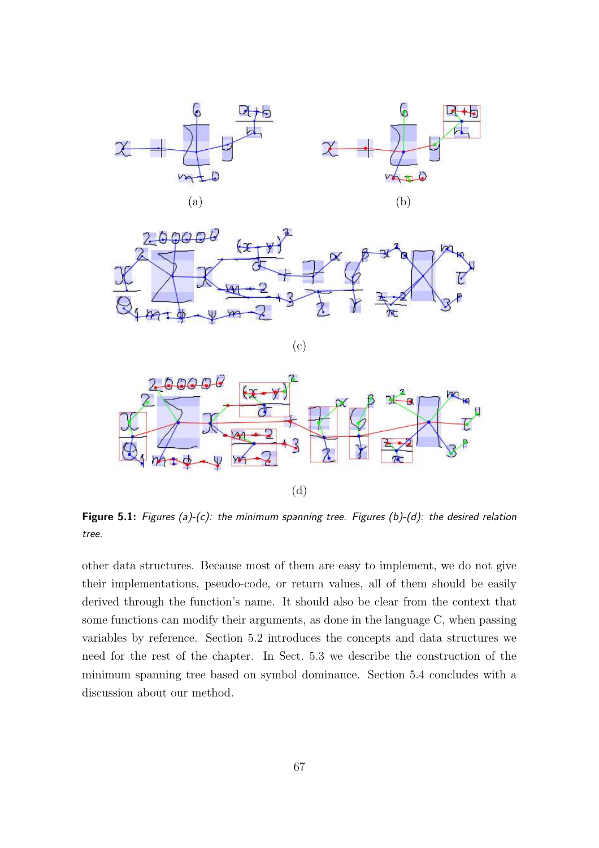



(c)



Figure 5.1: Figures (a)-(c): the minimum spanning tree. Figures (b)-(d): the desired relation tree.

other data structures. Because most of them are easy to implement, we do not give their implementations, pseudo-code, or return values, all of them should be easily derived through the function's name. It should also be clear from the context that some functions can modify their arguments, as done in the language C, when passing variables by reference. Section 5.2 introduces the concepts and data structures we need for the rest of the chapter. In Sect. 5.3 we describe the construction of the minimum spanning tree based on symbol dominance. Section 5.4 concludes with a discussion about our method.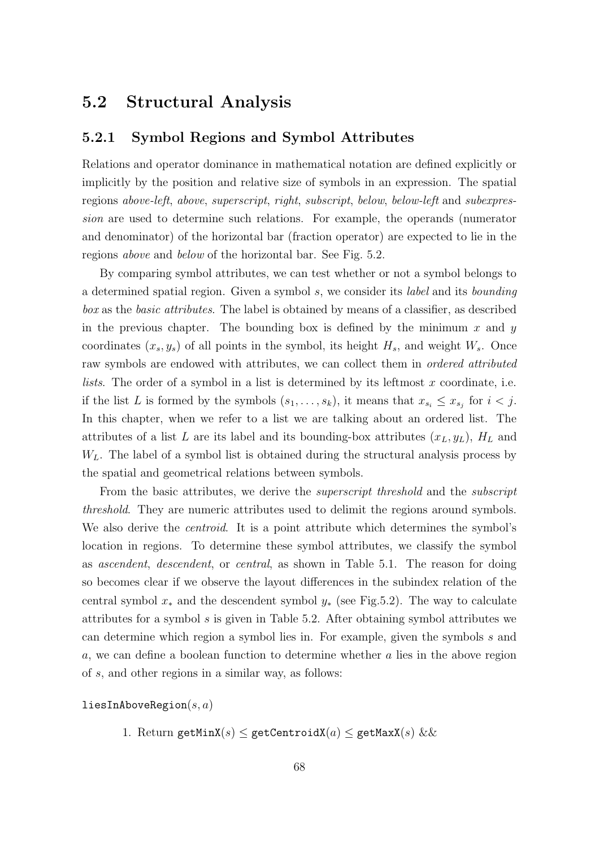## 5.2 Structural Analysis

#### 5.2.1 Symbol Regions and Symbol Attributes

Relations and operator dominance in mathematical notation are defined explicitly or implicitly by the position and relative size of symbols in an expression. The spatial regions above-left, above, superscript, right, subscript, below, below-left and subexpression are used to determine such relations. For example, the operands (numerator and denominator) of the horizontal bar (fraction operator) are expected to lie in the regions above and below of the horizontal bar. See Fig. 5.2.

By comparing symbol attributes, we can test whether or not a symbol belongs to a determined spatial region. Given a symbol s, we consider its label and its bounding box as the basic attributes. The label is obtained by means of a classifier, as described in the previous chapter. The bounding box is defined by the minimum  $x$  and  $y$ coordinates  $(x_s, y_s)$  of all points in the symbol, its height  $H_s$ , and weight  $W_s$ . Once raw symbols are endowed with attributes, we can collect them in *ordered attributed lists*. The order of a symbol in a list is determined by its leftmost  $x$  coordinate, i.e. if the list L is formed by the symbols  $(s_1, \ldots, s_k)$ , it means that  $x_{s_i} \leq x_{s_j}$  for  $i < j$ . In this chapter, when we refer to a list we are talking about an ordered list. The attributes of a list L are its label and its bounding-box attributes  $(x_L, y_L)$ ,  $H_L$  and  $W_L$ . The label of a symbol list is obtained during the structural analysis process by the spatial and geometrical relations between symbols.

From the basic attributes, we derive the *superscript threshold* and the *subscript* threshold. They are numeric attributes used to delimit the regions around symbols. We also derive the *centroid*. It is a point attribute which determines the symbol's location in regions. To determine these symbol attributes, we classify the symbol as ascendent, descendent, or central, as shown in Table 5.1. The reason for doing so becomes clear if we observe the layout differences in the subindex relation of the central symbol  $x_*$  and the descendent symbol  $y_*$  (see Fig.5.2). The way to calculate attributes for a symbol s is given in Table 5.2. After obtaining symbol attributes we can determine which region a symbol lies in. For example, given the symbols s and a, we can define a boolean function to determine whether a lies in the above region of s, and other regions in a similar way, as follows:

liesInAboveRegion $(s, a)$ 

1. Return getMinX(s)  $\leq$  getCentroidX(a)  $\leq$  getMaxX(s) & &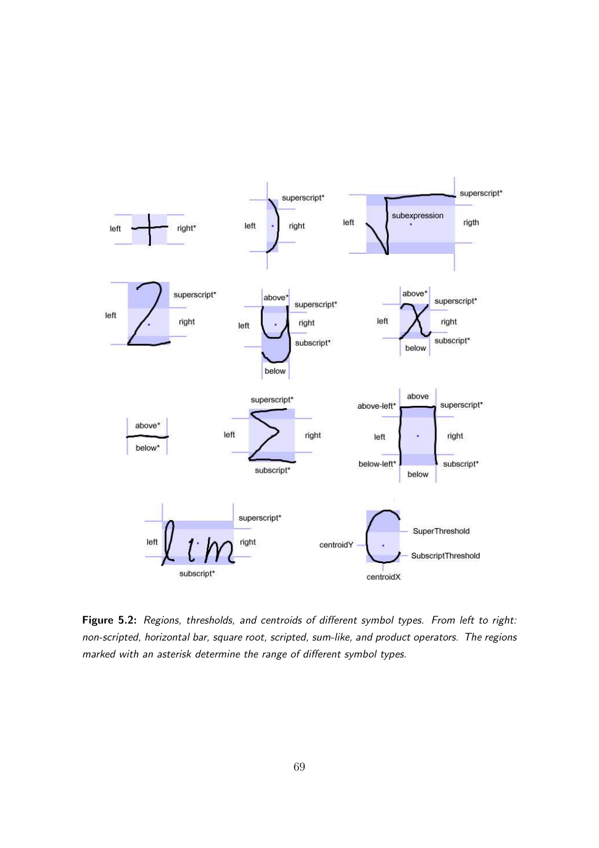

Figure 5.2: Regions, thresholds, and centroids of different symbol types. From left to right: non-scripted, horizontal bar, square root, scripted, sum-like, and product operators. The regions marked with an asterisk determine the range of different symbol types.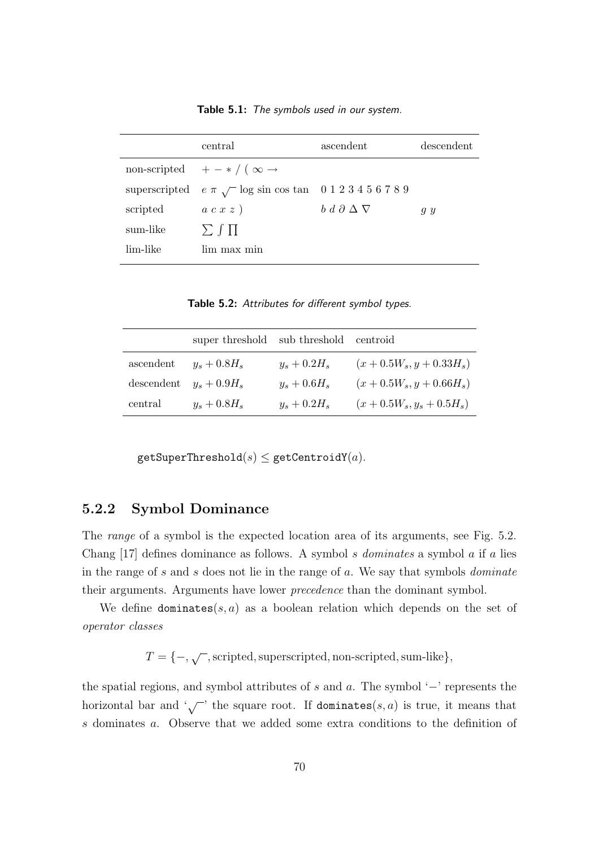|          | central                                                             | ascendent                        | descendent |
|----------|---------------------------------------------------------------------|----------------------------------|------------|
|          | non-scripted $+ - * / (\infty \rightarrow$                          |                                  |            |
|          | superscripted $e \pi \sqrt{\ }$ log sin cos tan 0 1 2 3 4 5 6 7 8 9 |                                  |            |
| scripted | a c x z                                                             | $b \ d \ \partial \Delta \nabla$ | g y        |
| sum-like | $\sum \int \prod$                                                   |                                  |            |
| lim-like | lim max min                                                         |                                  |            |
|          |                                                                     |                                  |            |

Table 5.1: The symbols used in our system.

Table 5.2: Attributes for different symbol types.

|                           | super threshold sub threshold |                | centroid                 |
|---------------------------|-------------------------------|----------------|--------------------------|
| ascendent                 | $y_s + 0.8H_s$                | $y_s + 0.2H_s$ | $(x+0.5W_s, y+0.33H_s)$  |
| descendent $y_s + 0.9H_s$ |                               | $y_s + 0.6H_s$ | $(x+0.5W_s, y+0.66H_s)$  |
| central                   | $y_s + 0.8H_s$                | $y_s + 0.2H_s$ | $(x+0.5W_s, y_s+0.5H_s)$ |

 $getSuperThreshold(s) \leq getCentroid(Y(a)).$ 

#### 5.2.2 Symbol Dominance

The *range* of a symbol is the expected location area of its arguments, see Fig. 5.2. Chang  $[17]$  defines dominance as follows. A symbol s *dominates* a symbol a if a lies in the range of s and s does not lie in the range of  $a$ . We say that symbols *dominate* their arguments. Arguments have lower precedence than the dominant symbol.

We define dominates(s, a) as a boolean relation which depends on the set of operator classes

 $T = \{-,\sqrt{\phantom{a}},$  scripted, superscripted, non-scripted, sum-like},

the spatial regions, and symbol attributes of s and a. The symbol '−' represents the horizontal bar and  $\sqrt{\phantom{a}}$  the square root. If dominates(s, a) is true, it means that s dominates a. Observe that we added some extra conditions to the definition of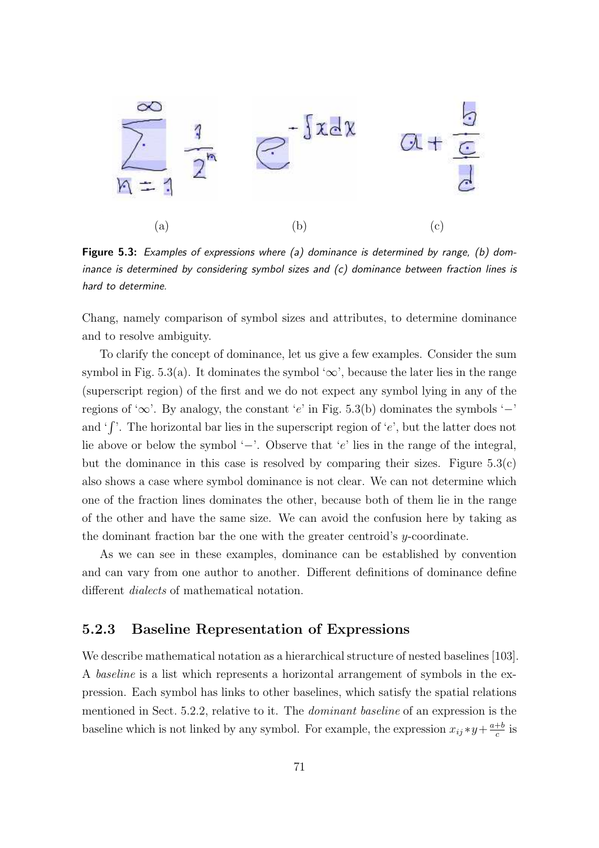

Figure 5.3: Examples of expressions where (a) dominance is determined by range, (b) dominance is determined by considering symbol sizes and (c) dominance between fraction lines is hard to determine.

Chang, namely comparison of symbol sizes and attributes, to determine dominance and to resolve ambiguity.

To clarify the concept of dominance, let us give a few examples. Consider the sum symbol in Fig. 5.3(a). It dominates the symbol ' $\infty$ ', because the later lies in the range (superscript region) of the first and we do not expect any symbol lying in any of the regions of '∞'. By analogy, the constant 'e' in Fig. 5.3(b) dominates the symbols ' $-$ ' and ' $\int'$ . The horizontal bar lies in the superscript region of 'e', but the latter does not lie above or below the symbol '−'. Observe that 'e' lies in the range of the integral, but the dominance in this case is resolved by comparing their sizes. Figure  $5.3(c)$ also shows a case where symbol dominance is not clear. We can not determine which one of the fraction lines dominates the other, because both of them lie in the range of the other and have the same size. We can avoid the confusion here by taking as the dominant fraction bar the one with the greater centroid's y-coordinate.

As we can see in these examples, dominance can be established by convention and can vary from one author to another. Different definitions of dominance define different *dialects* of mathematical notation.

#### 5.2.3 Baseline Representation of Expressions

We describe mathematical notation as a hierarchical structure of nested baselines [103]. A baseline is a list which represents a horizontal arrangement of symbols in the expression. Each symbol has links to other baselines, which satisfy the spatial relations mentioned in Sect. 5.2.2, relative to it. The dominant baseline of an expression is the baseline which is not linked by any symbol. For example, the expression  $x_{ij} * y + \frac{a+b}{c}$  $rac{+b}{c}$  is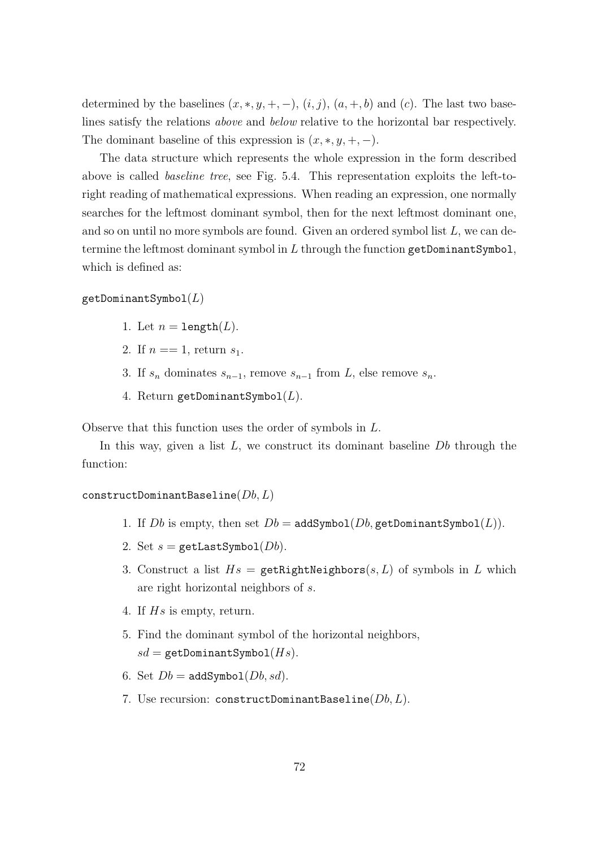determined by the baselines  $(x, *, y, +, -)$ ,  $(i, j)$ ,  $(a, +, b)$  and  $(c)$ . The last two baselines satisfy the relations above and below relative to the horizontal bar respectively. The dominant baseline of this expression is  $(x, *, y, +, -)$ .

The data structure which represents the whole expression in the form described above is called baseline tree, see Fig. 5.4. This representation exploits the left-toright reading of mathematical expressions. When reading an expression, one normally searches for the leftmost dominant symbol, then for the next leftmost dominant one, and so on until no more symbols are found. Given an ordered symbol list  $L$ , we can determine the leftmost dominant symbol in  $L$  through the function getDominantSymbol, which is defined as:

 $getDominant Symbol(L)$ 

- 1. Let  $n = \text{length}(L)$ .
- 2. If  $n == 1$ , return  $s_1$ .
- 3. If  $s_n$  dominates  $s_{n-1}$ , remove  $s_{n-1}$  from L, else remove  $s_n$ .
- 4. Return getDominantSymbol $(L)$ .

Observe that this function uses the order of symbols in L.

In this way, given a list  $L$ , we construct its dominant baseline  $Db$  through the function:

#### constructDominantBaseline( $Db, L$ )

- 1. If Db is empty, then set  $Db = \text{addSymbol}(Db, \text{getDomain}(\mathbf{L})).$
- 2. Set  $s =$  getLastSymbol( $Db$ ).
- 3. Construct a list  $Hs = \text{getRightNeighbors}(s, L)$  of symbols in L which are right horizontal neighbors of s.
- 4. If Hs is empty, return.
- 5. Find the dominant symbol of the horizontal neighbors,  $sd =$  getDominantSymbol $(Hs)$ .
- 6. Set  $Db = \text{addSymbol}(Db, sd)$ .
- 7. Use recursion: constructDominantBaseline $(Db, L)$ .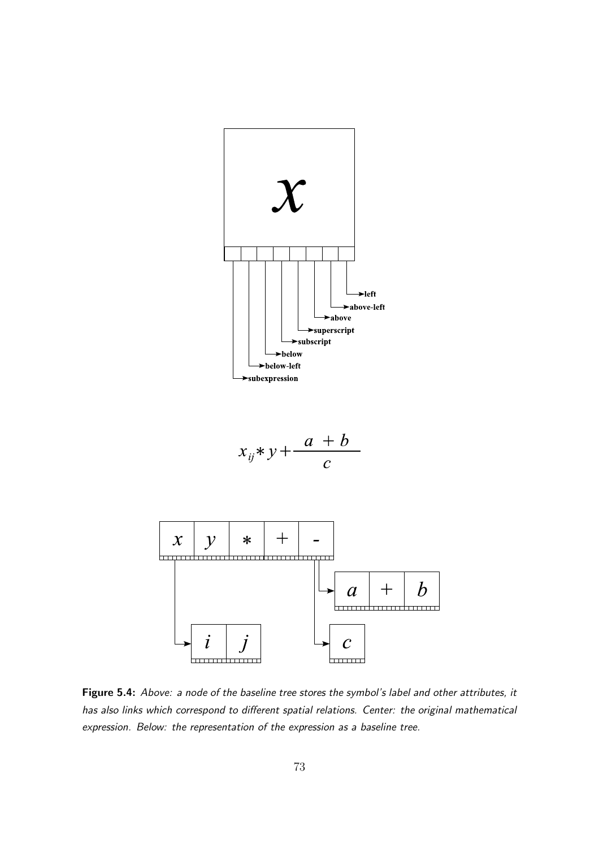

$$
x_{ij} * y + \frac{a+b}{c}
$$



Figure 5.4: Above: a node of the baseline tree stores the symbol's label and other attributes, it has also links which correspond to different spatial relations. Center: the original mathematical expression. Below: the representation of the expression as a baseline tree.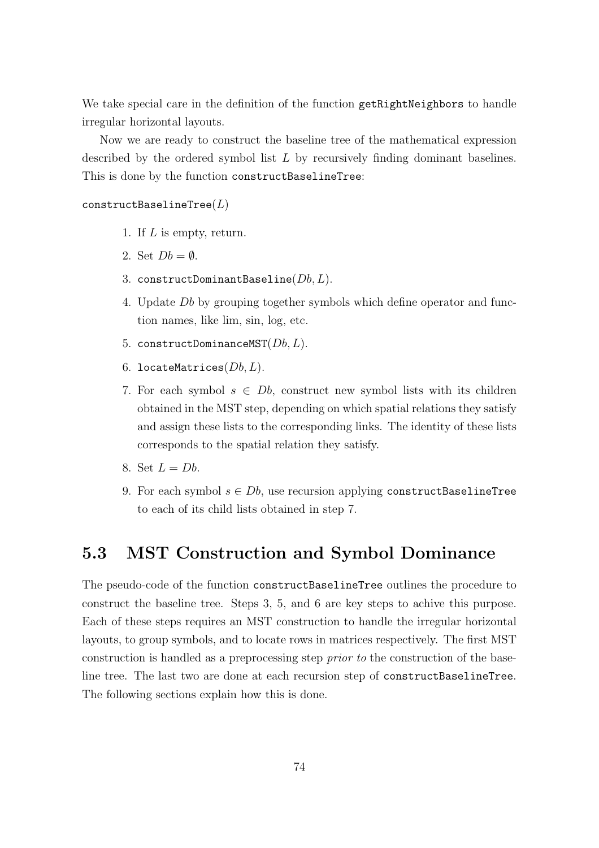We take special care in the definition of the function getRightNeighbors to handle irregular horizontal layouts.

Now we are ready to construct the baseline tree of the mathematical expression described by the ordered symbol list  $L$  by recursively finding dominant baselines. This is done by the function constructBaselineTree:

#### $const$ ructBaselineTree $(L)$

- 1. If L is empty, return.
- 2. Set  $Db = \emptyset$ .
- 3. constructDominantBaseline( $Db, L$ ).
- 4. Update Db by grouping together symbols which define operator and function names, like lim, sin, log, etc.
- 5. constructDominanceMST $(Db, L)$ .
- 6. locateMatrices $(Db, L)$ .
- 7. For each symbol  $s \in Db$ , construct new symbol lists with its children obtained in the MST step, depending on which spatial relations they satisfy and assign these lists to the corresponding links. The identity of these lists corresponds to the spatial relation they satisfy.
- 8. Set  $L = Db$ .
- 9. For each symbol  $s \in Db$ , use recursion applying constructBaselineTree to each of its child lists obtained in step 7.

## 5.3 MST Construction and Symbol Dominance

The pseudo-code of the function constructBaselineTree outlines the procedure to construct the baseline tree. Steps 3, 5, and 6 are key steps to achive this purpose. Each of these steps requires an MST construction to handle the irregular horizontal layouts, to group symbols, and to locate rows in matrices respectively. The first MST construction is handled as a preprocessing step prior to the construction of the baseline tree. The last two are done at each recursion step of constructBaselineTree. The following sections explain how this is done.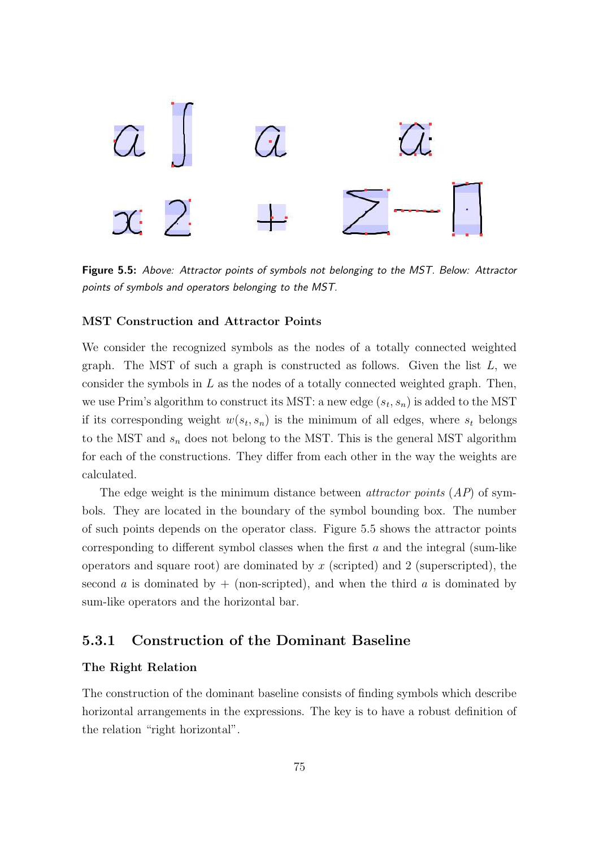

Figure 5.5: Above: Attractor points of symbols not belonging to the MST. Below: Attractor points of symbols and operators belonging to the MST.

#### MST Construction and Attractor Points

We consider the recognized symbols as the nodes of a totally connected weighted graph. The MST of such a graph is constructed as follows. Given the list  $L$ , we consider the symbols in  $L$  as the nodes of a totally connected weighted graph. Then, we use Prim's algorithm to construct its MST: a new edge  $(s_t, s_n)$  is added to the MST if its corresponding weight  $w(s_t, s_n)$  is the minimum of all edges, where  $s_t$  belongs to the MST and  $s_n$  does not belong to the MST. This is the general MST algorithm for each of the constructions. They differ from each other in the way the weights are calculated.

The edge weight is the minimum distance between *attractor points*  $(AP)$  of symbols. They are located in the boundary of the symbol bounding box. The number of such points depends on the operator class. Figure 5.5 shows the attractor points corresponding to different symbol classes when the first  $a$  and the integral (sum-like operators and square root) are dominated by  $x$  (scripted) and 2 (superscripted), the second a is dominated by  $+$  (non-scripted), and when the third a is dominated by sum-like operators and the horizontal bar.

#### 5.3.1 Construction of the Dominant Baseline

#### The Right Relation

The construction of the dominant baseline consists of finding symbols which describe horizontal arrangements in the expressions. The key is to have a robust definition of the relation "right horizontal".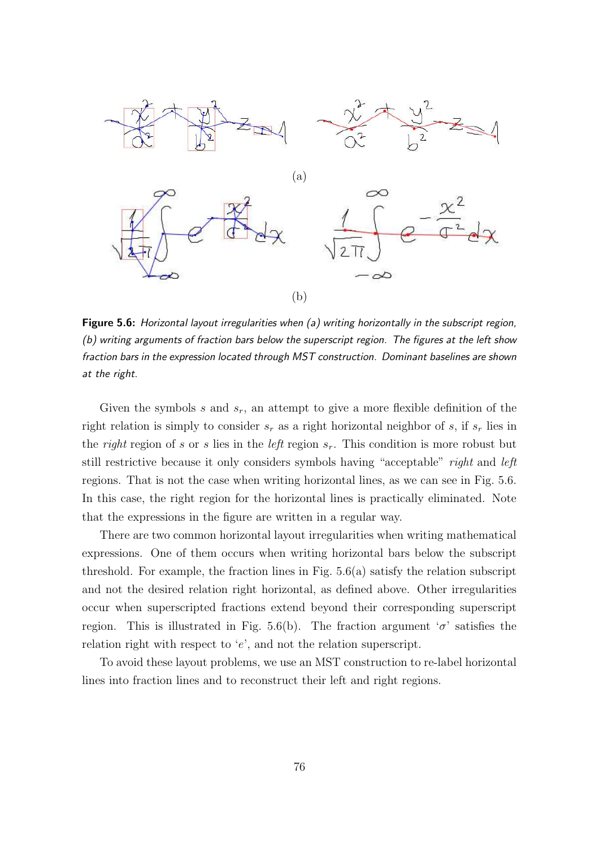

Figure 5.6: Horizontal layout irregularities when (a) writing horizontally in the subscript region, (b) writing arguments of fraction bars below the superscript region. The figures at the left show fraction bars in the expression located through MST construction. Dominant baselines are shown at the right.

Given the symbols s and  $s_r$ , an attempt to give a more flexible definition of the right relation is simply to consider  $s_r$  as a right horizontal neighbor of s, if  $s_r$  lies in the *right* region of s or s lies in the *left* region  $s_r$ . This condition is more robust but still restrictive because it only considers symbols having "acceptable" right and left regions. That is not the case when writing horizontal lines, as we can see in Fig. 5.6. In this case, the right region for the horizontal lines is practically eliminated. Note that the expressions in the figure are written in a regular way.

There are two common horizontal layout irregularities when writing mathematical expressions. One of them occurs when writing horizontal bars below the subscript threshold. For example, the fraction lines in Fig. 5.6(a) satisfy the relation subscript and not the desired relation right horizontal, as defined above. Other irregularities occur when superscripted fractions extend beyond their corresponding superscript region. This is illustrated in Fig. 5.6(b). The fraction argument ' $\sigma$ ' satisfies the relation right with respect to ' $e$ ', and not the relation superscript.

To avoid these layout problems, we use an MST construction to re-label horizontal lines into fraction lines and to reconstruct their left and right regions.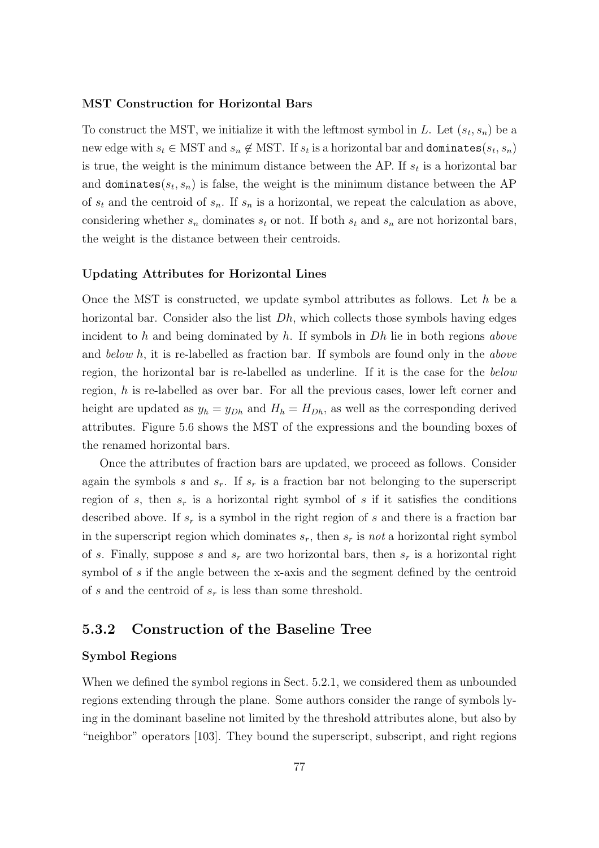#### MST Construction for Horizontal Bars

To construct the MST, we initialize it with the leftmost symbol in L. Let  $(s_t, s_n)$  be a new edge with  $s_t \in \text{MST}$  and  $s_n \notin \text{MST}$ . If  $s_t$  is a horizontal bar and **dominates** $(s_t, s_n)$ is true, the weight is the minimum distance between the AP. If  $s_t$  is a horizontal bar and dominates( $s_t, s_n$ ) is false, the weight is the minimum distance between the AP of  $s_t$  and the centroid of  $s_n$ . If  $s_n$  is a horizontal, we repeat the calculation as above, considering whether  $s_n$  dominates  $s_t$  or not. If both  $s_t$  and  $s_n$  are not horizontal bars, the weight is the distance between their centroids.

#### Updating Attributes for Horizontal Lines

Once the MST is constructed, we update symbol attributes as follows. Let  $h$  be a horizontal bar. Consider also the list  $Dh$ , which collects those symbols having edges incident to h and being dominated by h. If symbols in  $Dh$  lie in both regions above and below h, it is re-labelled as fraction bar. If symbols are found only in the above region, the horizontal bar is re-labelled as underline. If it is the case for the below region, h is re-labelled as over bar. For all the previous cases, lower left corner and height are updated as  $y_h = y_{Dh}$  and  $H_h = H_{Dh}$ , as well as the corresponding derived attributes. Figure 5.6 shows the MST of the expressions and the bounding boxes of the renamed horizontal bars.

Once the attributes of fraction bars are updated, we proceed as follows. Consider again the symbols s and  $s_r$ . If  $s_r$  is a fraction bar not belonging to the superscript region of s, then  $s_r$  is a horizontal right symbol of s if it satisfies the conditions described above. If  $s_r$  is a symbol in the right region of s and there is a fraction bar in the superscript region which dominates  $s_r$ , then  $s_r$  is not a horizontal right symbol of s. Finally, suppose s and  $s_r$  are two horizontal bars, then  $s_r$  is a horizontal right symbol of s if the angle between the x-axis and the segment defined by the centroid of s and the centroid of  $s_r$  is less than some threshold.

#### 5.3.2 Construction of the Baseline Tree

#### Symbol Regions

When we defined the symbol regions in Sect. 5.2.1, we considered them as unbounded regions extending through the plane. Some authors consider the range of symbols lying in the dominant baseline not limited by the threshold attributes alone, but also by "neighbor" operators [103]. They bound the superscript, subscript, and right regions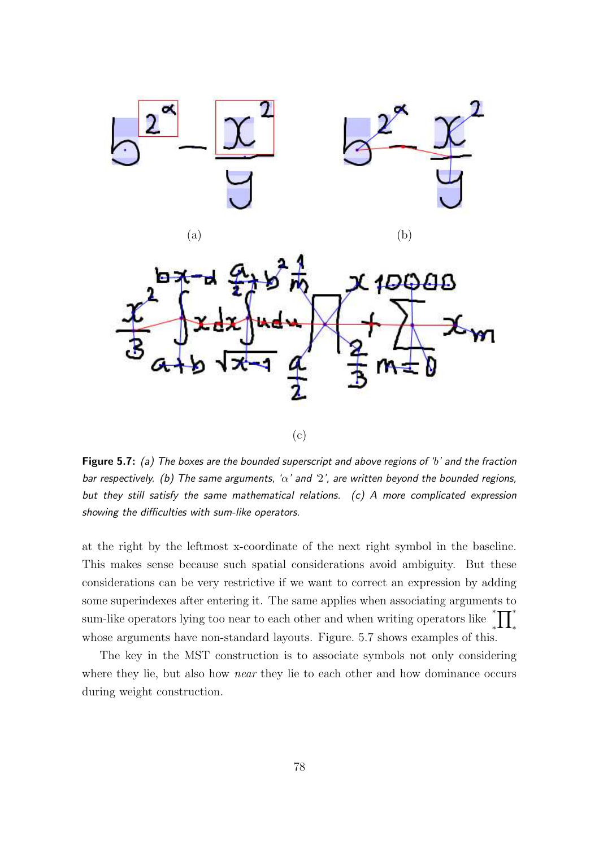



Figure 5.7: (a) The boxes are the bounded superscript and above regions of 'b' and the fraction bar respectively. (b) The same arguments, ' $\alpha$ ' and '2', are written beyond the bounded regions, but they still satisfy the same mathematical relations. (c) A more complicated expression showing the difficulties with sum-like operators.

at the right by the leftmost x-coordinate of the next right symbol in the baseline. This makes sense because such spatial considerations avoid ambiguity. But these considerations can be very restrictive if we want to correct an expression by adding some superindexes after entering it. The same applies when associating arguments to sum-like operators lying too near to each other and when writing operators like ∗  $^*_* \prod^*_*$ whose arguments have non-standard layouts. Figure. 5.7 shows examples of this.

The key in the MST construction is to associate symbols not only considering where they lie, but also how *near* they lie to each other and how dominance occurs during weight construction.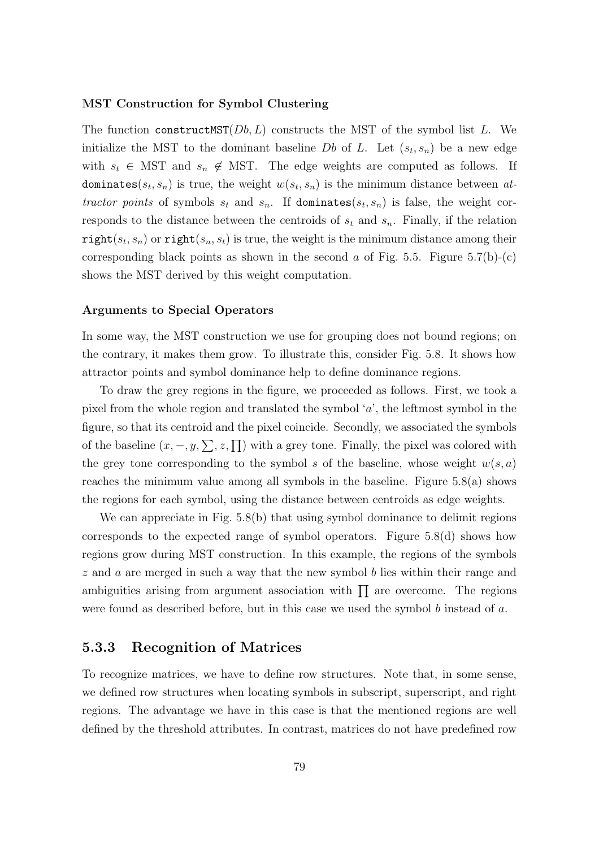#### MST Construction for Symbol Clustering

The function construct  $(SDb, L)$  constructs the MST of the symbol list L. We initialize the MST to the dominant baseline  $Db$  of L. Let  $(s_t, s_n)$  be a new edge with  $s_t \in \text{MST}$  and  $s_n \notin \text{MST}$ . The edge weights are computed as follows. If dominates( $s_t$ ,  $s_n$ ) is true, the weight  $w(s_t, s_n)$  is the minimum distance between attractor points of symbols  $s_t$  and  $s_n$ . If dominates( $s_t$ ,  $s_n$ ) is false, the weight corresponds to the distance between the centroids of  $s_t$  and  $s_n$ . Finally, if the relation  $\texttt{right}(s_t, s_n)$  or  $\texttt{right}(s_n, s_t)$  is true, the weight is the minimum distance among their corresponding black points as shown in the second  $a$  of Fig. 5.5. Figure 5.7(b)-(c) shows the MST derived by this weight computation.

#### Arguments to Special Operators

In some way, the MST construction we use for grouping does not bound regions; on the contrary, it makes them grow. To illustrate this, consider Fig. 5.8. It shows how attractor points and symbol dominance help to define dominance regions.

To draw the grey regions in the figure, we proceeded as follows. First, we took a pixel from the whole region and translated the symbol  $a'$ , the leftmost symbol in the figure, so that its centroid and the pixel coincide. Secondly, we associated the symbols of the baseline  $(x, -, y, \sum, z, \prod)$  with a grey tone. Finally, the pixel was colored with the grey tone corresponding to the symbol s of the baseline, whose weight  $w(s, a)$ reaches the minimum value among all symbols in the baseline. Figure 5.8(a) shows the regions for each symbol, using the distance between centroids as edge weights.

We can appreciate in Fig. 5.8(b) that using symbol dominance to delimit regions corresponds to the expected range of symbol operators. Figure 5.8(d) shows how regions grow during MST construction. In this example, the regions of the symbols  $z$  and  $\alpha$  are merged in such a way that the new symbol  $b$  lies within their range and ambiguities arising from argument association with  $\prod$  are overcome. The regions were found as described before, but in this case we used the symbol b instead of a.

#### 5.3.3 Recognition of Matrices

To recognize matrices, we have to define row structures. Note that, in some sense, we defined row structures when locating symbols in subscript, superscript, and right regions. The advantage we have in this case is that the mentioned regions are well defined by the threshold attributes. In contrast, matrices do not have predefined row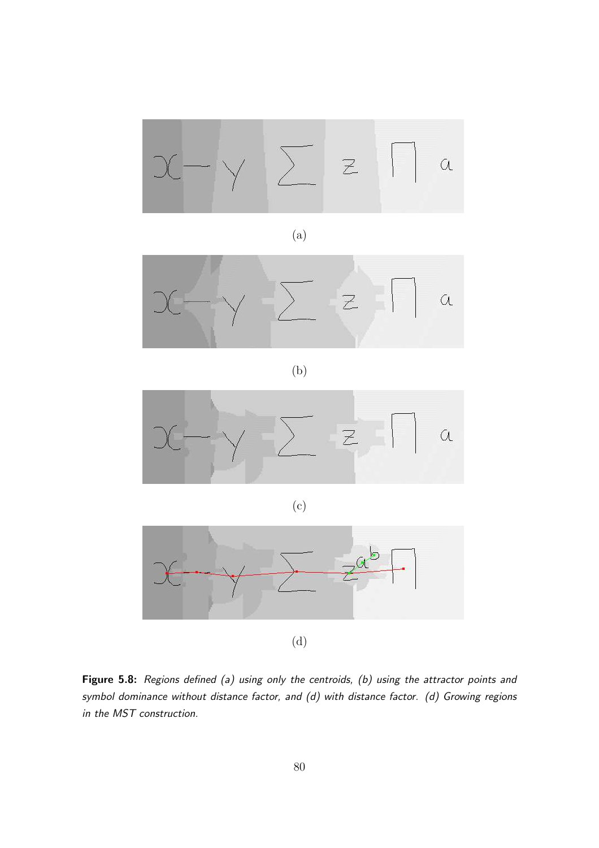

(a)



(b)



(c)



(d)

Figure 5.8: Regions defined (a) using only the centroids, (b) using the attractor points and symbol dominance without distance factor, and (d) with distance factor. (d) Growing regions in the MST construction.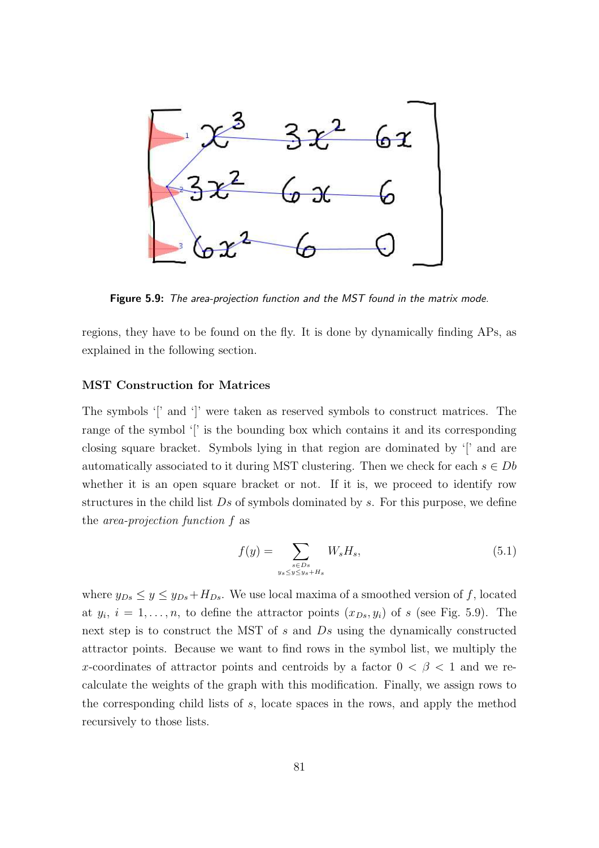

Figure 5.9: The area-projection function and the MST found in the matrix mode.

regions, they have to be found on the fly. It is done by dynamically finding APs, as explained in the following section.

#### MST Construction for Matrices

The symbols '[' and ']' were taken as reserved symbols to construct matrices. The range of the symbol '[' is the bounding box which contains it and its corresponding closing square bracket. Symbols lying in that region are dominated by '[' and are automatically associated to it during MST clustering. Then we check for each  $s \in Db$ whether it is an open square bracket or not. If it is, we proceed to identify row structures in the child list  $Ds$  of symbols dominated by s. For this purpose, we define the area-projection function f as

$$
f(y) = \sum_{\substack{s \in Ds \\ y_s \le y \le y_s + H_s}} W_s H_s,\tag{5.1}
$$

where  $y_{Ds} \le y \le y_{Ds} + H_{Ds}$ . We use local maxima of a smoothed version of f, located at  $y_i$ ,  $i = 1, \ldots, n$ , to define the attractor points  $(x_{Ds}, y_i)$  of s (see Fig. 5.9). The next step is to construct the MST of s and Ds using the dynamically constructed attractor points. Because we want to find rows in the symbol list, we multiply the x-coordinates of attractor points and centroids by a factor  $0 < \beta < 1$  and we recalculate the weights of the graph with this modification. Finally, we assign rows to the corresponding child lists of s, locate spaces in the rows, and apply the method recursively to those lists.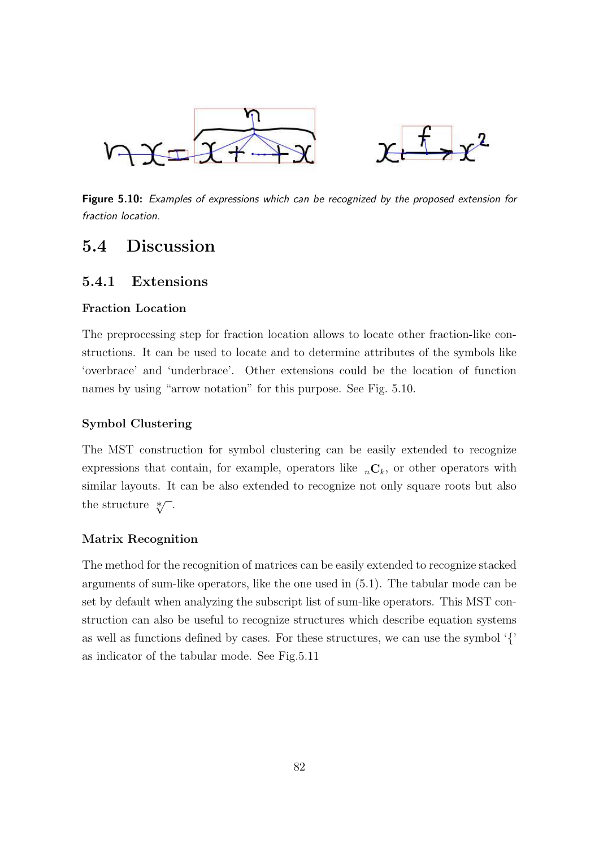



Figure 5.10: Examples of expressions which can be recognized by the proposed extension for fraction location.

### 5.4 Discussion

#### 5.4.1 Extensions

#### Fraction Location

The preprocessing step for fraction location allows to locate other fraction-like constructions. It can be used to locate and to determine attributes of the symbols like 'overbrace' and 'underbrace'. Other extensions could be the location of function names by using "arrow notation" for this purpose. See Fig. 5.10.

#### Symbol Clustering

The MST construction for symbol clustering can be easily extended to recognize expressions that contain, for example, operators like  ${}_{n}C_{k}$ , or other operators with similar layouts. It can be also extended to recognize not only square roots but also the structure  $\sqrt[*]{ }$ .

#### Matrix Recognition

The method for the recognition of matrices can be easily extended to recognize stacked arguments of sum-like operators, like the one used in (5.1). The tabular mode can be set by default when analyzing the subscript list of sum-like operators. This MST construction can also be useful to recognize structures which describe equation systems as well as functions defined by cases. For these structures, we can use the symbol '{' as indicator of the tabular mode. See Fig.5.11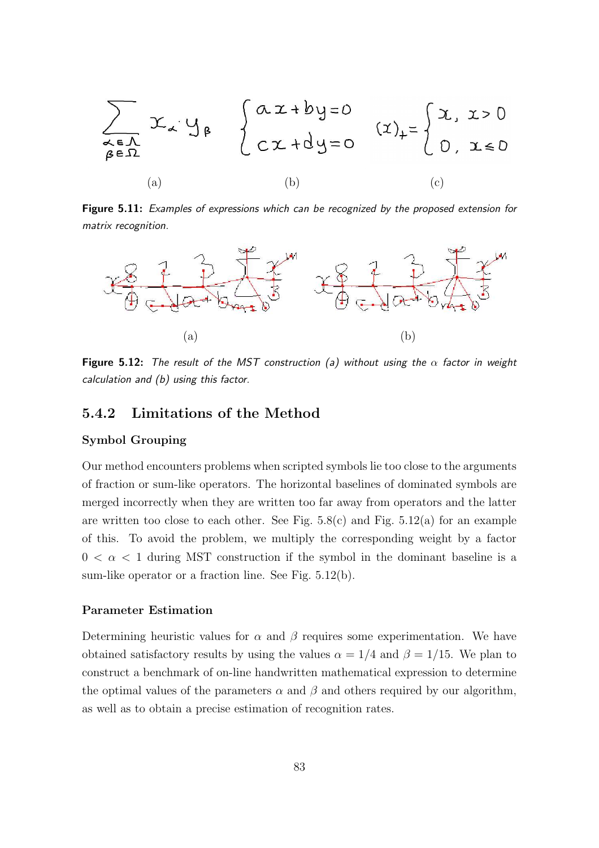

Figure 5.11: Examples of expressions which can be recognized by the proposed extension for matrix recognition.



Figure 5.12: The result of the MST construction (a) without using the  $\alpha$  factor in weight calculation and (b) using this factor.

#### 5.4.2 Limitations of the Method

#### Symbol Grouping

Our method encounters problems when scripted symbols lie too close to the arguments of fraction or sum-like operators. The horizontal baselines of dominated symbols are merged incorrectly when they are written too far away from operators and the latter are written too close to each other. See Fig.  $5.8(c)$  and Fig.  $5.12(a)$  for an example of this. To avoid the problem, we multiply the corresponding weight by a factor  $0 < \alpha < 1$  during MST construction if the symbol in the dominant baseline is a sum-like operator or a fraction line. See Fig. 5.12(b).

#### Parameter Estimation

Determining heuristic values for  $\alpha$  and  $\beta$  requires some experimentation. We have obtained satisfactory results by using the values  $\alpha = 1/4$  and  $\beta = 1/15$ . We plan to construct a benchmark of on-line handwritten mathematical expression to determine the optimal values of the parameters  $\alpha$  and  $\beta$  and others required by our algorithm, as well as to obtain a precise estimation of recognition rates.